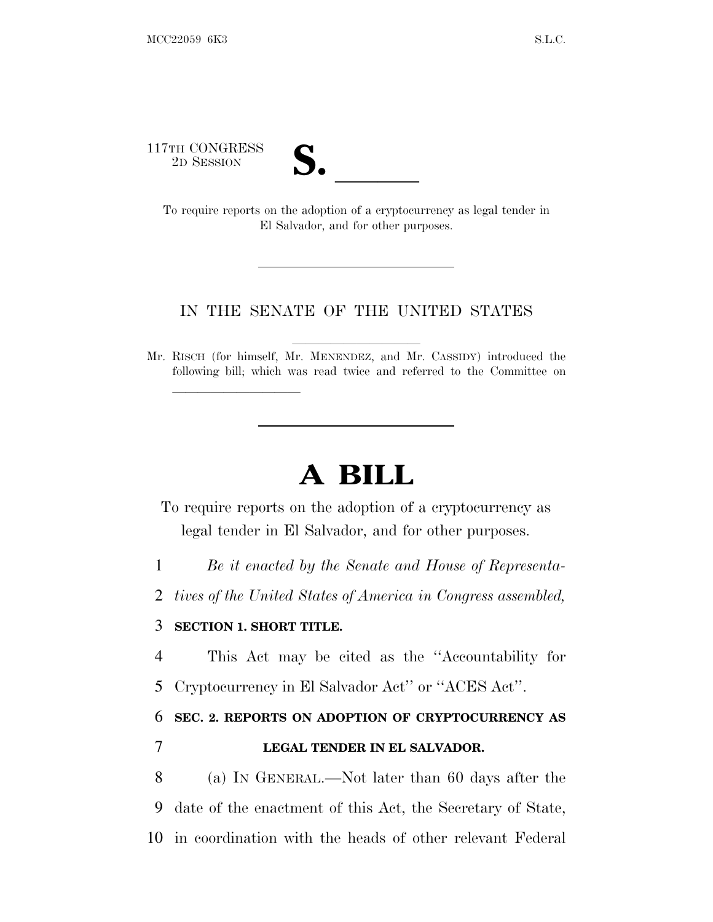117TH CONGRESS



TH CONGRESS<br>
2D SESSION<br>
To require reports on the adoption of a cryptocurrency as legal tender in El Salvador, and for other purposes.

## IN THE SENATE OF THE UNITED STATES

Mr. RISCH (for himself, Mr. MENENDEZ, and Mr. CASSIDY) introduced the following bill; which was read twice and referred to the Committee on

## **A BILL**

To require reports on the adoption of a cryptocurrency as legal tender in El Salvador, and for other purposes.

1 *Be it enacted by the Senate and House of Representa-*

2 *tives of the United States of America in Congress assembled,*

## 3 **SECTION 1. SHORT TITLE.**

lla se al consegue de la consegue de la consegue de la consegue de la consegue de la consegue de la consegue d<br>La consegue de la consegue de la consegue de la consegue de la consegue de la consegue de la consegue de la co

4 This Act may be cited as the ''Accountability for 5 Cryptocurrency in El Salvador Act'' or ''ACES Act''.

6 **SEC. 2. REPORTS ON ADOPTION OF CRYPTOCURRENCY AS**

7 **LEGAL TENDER IN EL SALVADOR.**

8 (a) I<sup>N</sup> GENERAL.—Not later than 60 days after the 9 date of the enactment of this Act, the Secretary of State, 10 in coordination with the heads of other relevant Federal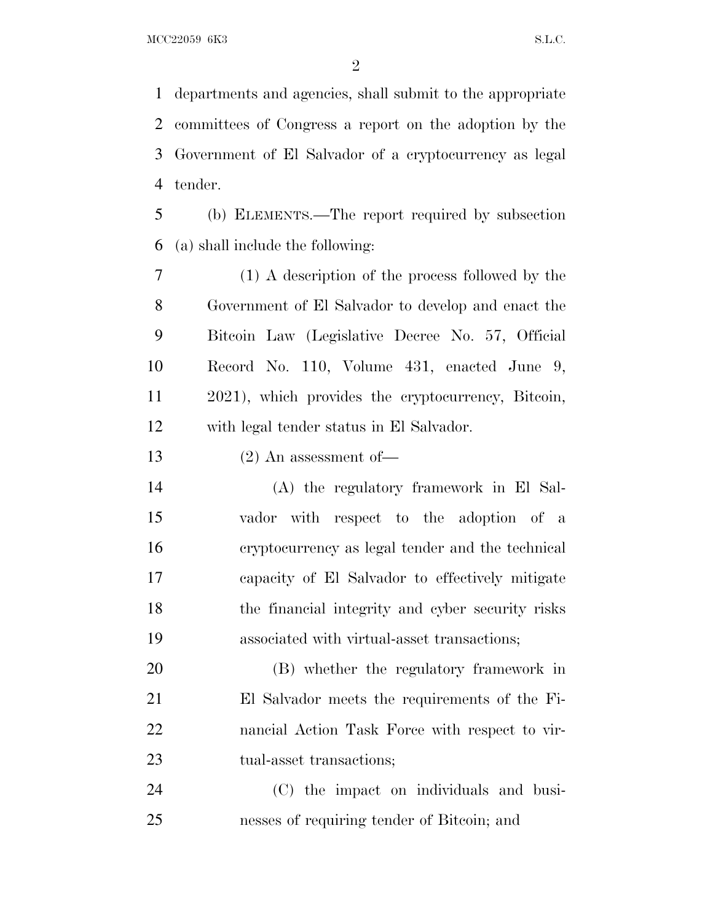departments and agencies, shall submit to the appropriate committees of Congress a report on the adoption by the Government of El Salvador of a cryptocurrency as legal tender.

 (b) ELEMENTS.—The report required by subsection (a) shall include the following:

 (1) A description of the process followed by the Government of El Salvador to develop and enact the Bitcoin Law (Legislative Decree No. 57, Official Record No. 110, Volume 431, enacted June 9, 2021), which provides the cryptocurrency, Bitcoin, with legal tender status in El Salvador.

(2) An assessment of—

 (A) the regulatory framework in El Sal- vador with respect to the adoption of a cryptocurrency as legal tender and the technical capacity of El Salvador to effectively mitigate the financial integrity and cyber security risks associated with virtual-asset transactions;

 (B) whether the regulatory framework in El Salvador meets the requirements of the Fi- nancial Action Task Force with respect to vir-23 tual-asset transactions;

 (C) the impact on individuals and busi-nesses of requiring tender of Bitcoin; and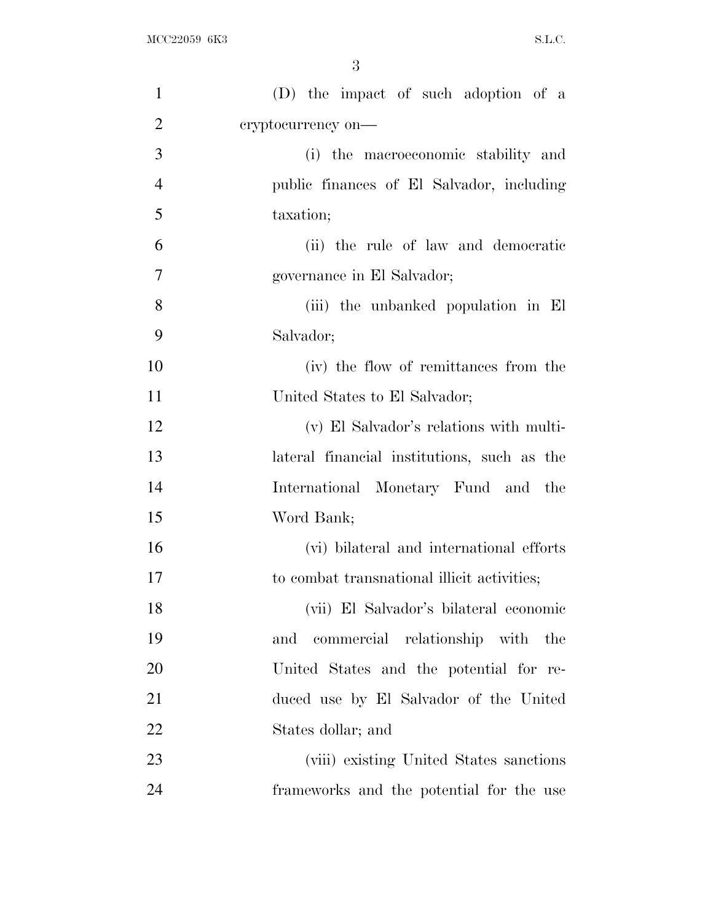| $\mathbf{1}$   | (D) the impact of such adoption of a        |
|----------------|---------------------------------------------|
| $\overline{2}$ | cryptocurrency on-                          |
| 3              | (i) the macroeconomic stability and         |
| $\overline{4}$ | public finances of El Salvador, including   |
| 5              | taxation;                                   |
| 6              | (ii) the rule of law and democratic         |
| $\tau$         | governance in El Salvador;                  |
| 8              | (iii) the unbanked population in El         |
| 9              | Salvador;                                   |
| 10             | (iv) the flow of remittances from the       |
| 11             | United States to El Salvador;               |
| 12             | (v) El Salvador's relations with multi-     |
| 13             | lateral financial institutions, such as the |
| 14             | International Monetary Fund and the         |
| 15             | Word Bank;                                  |
| 16             | (vi) bilateral and international efforts    |
| 17             | to combat transnational illicit activities; |
| 18             | (vii) El Salvador's bilateral economic      |
| 19             | and commercial relationship with the        |
| 20             | United States and the potential for re-     |
| 21             | duced use by El Salvador of the United      |
| 22             | States dollar; and                          |
| 23             | (viii) existing United States sanctions     |
| 24             | frameworks and the potential for the use    |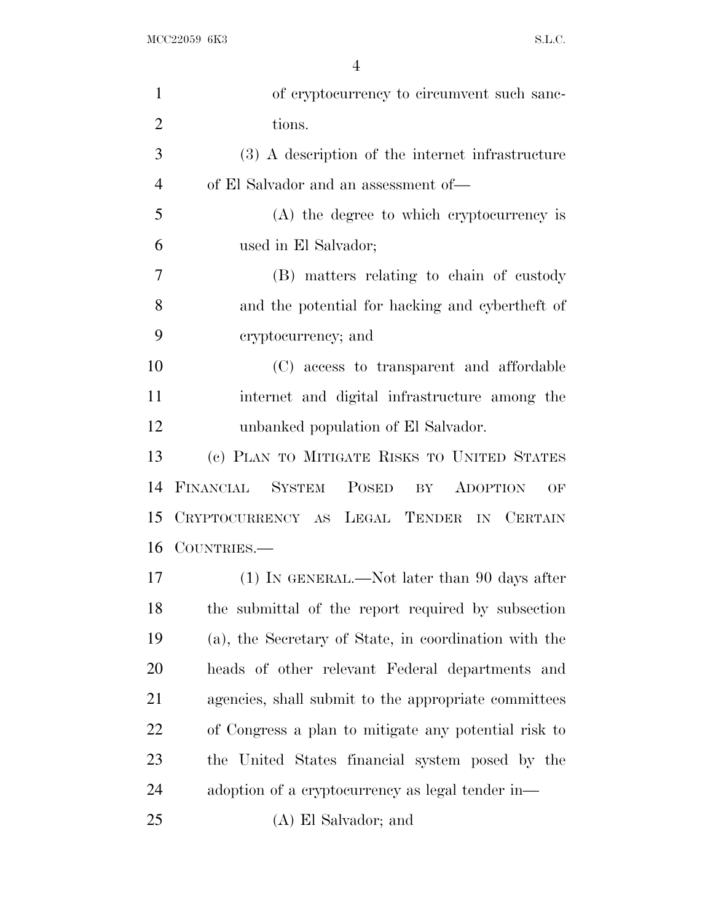| $\mathbf{1}$   | of cryptocurrency to circumvent such sanc-            |
|----------------|-------------------------------------------------------|
| $\overline{2}$ | tions.                                                |
| 3              | (3) A description of the internet infrastructure      |
| $\overline{4}$ | of El Salvador and an assessment of—                  |
| 5              | (A) the degree to which cryptocurrency is             |
| 6              | used in El Salvador;                                  |
| $\overline{7}$ | (B) matters relating to chain of custody              |
| 8              | and the potential for hacking and cybertheft of       |
| 9              | cryptocurrency; and                                   |
| 10             | (C) access to transparent and affordable              |
| 11             | internet and digital infrastructure among the         |
| 12             | unbanked population of El Salvador.                   |
| 13             | (c) PLAN TO MITIGATE RISKS TO UNITED STATES           |
| 14             | FINANCIAL SYSTEM POSED BY ADOPTION<br>OF              |
| 15             | CRYPTOCURRENCY AS LEGAL TENDER IN CERTAIN             |
| 16             | COUNTRIES.                                            |
| 17             | $(1)$ In GENERAL.—Not later than 90 days after        |
| 18             | the submittal of the report required by subsection    |
| 19             | (a), the Secretary of State, in coordination with the |
| 20             | heads of other relevant Federal departments and       |
| 21             | agencies, shall submit to the appropriate committees  |
| 22             | of Congress a plan to mitigate any potential risk to  |
| 23             | the United States financial system posed by the       |
| 24             | adoption of a cryptocurrency as legal tender in—      |
| 25             | (A) El Salvador; and                                  |